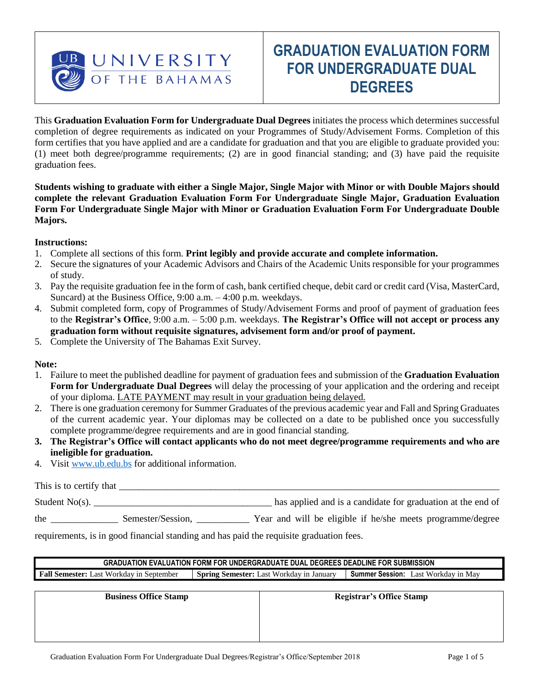

# **GRADUATION EVALUATION FORM FOR UNDERGRADUATE DUAL DEGREES**

This **Graduation Evaluation Form for Undergraduate Dual Degrees** initiates the process which determines successful completion of degree requirements as indicated on your Programmes of Study/Advisement Forms. Completion of this form certifies that you have applied and are a candidate for graduation and that you are eligible to graduate provided you: (1) meet both degree/programme requirements; (2) are in good financial standing; and (3) have paid the requisite graduation fees.

**Students wishing to graduate with either a Single Major, Single Major with Minor or with Double Majors should complete the relevant Graduation Evaluation Form For Undergraduate Single Major, Graduation Evaluation Form For Undergraduate Single Major with Minor or Graduation Evaluation Form For Undergraduate Double Majors.** 

#### **Instructions:**

- 1. Complete all sections of this form. **Print legibly and provide accurate and complete information.**
- 2. Secure the signatures of your Academic Advisors and Chairs of the Academic Units responsible for your programmes of study.
- 3. Pay the requisite graduation fee in the form of cash, bank certified cheque, debit card or credit card (Visa, MasterCard, Suncard) at the Business Office, 9:00 a.m. – 4:00 p.m. weekdays.
- 4. Submit completed form, copy of Programmes of Study/Advisement Forms and proof of payment of graduation fees to the **Registrar's Office**, 9:00 a.m. – 5:00 p.m. weekdays. **The Registrar's Office will not accept or process any graduation form without requisite signatures, advisement form and/or proof of payment.**
- 5. Complete the University of The Bahamas Exit Survey.

#### **Note:**

- 1. Failure to meet the published deadline for payment of graduation fees and submission of the **Graduation Evaluation Form for Undergraduate Dual Degrees** will delay the processing of your application and the ordering and receipt of your diploma. LATE PAYMENT may result in your graduation being delayed.
- 2. There is one graduation ceremony for Summer Graduates of the previous academic year and Fall and Spring Graduates of the current academic year. Your diplomas may be collected on a date to be published once you successfully complete programme/degree requirements and are in good financial standing.
- **3. The Registrar's Office will contact applicants who do not meet degree/programme requirements and who are ineligible for graduation.**
- 4. Visi[t www.ub.edu.bs](http://www.ub.edu.bs/) for additional information.

| This is to certify that |                   |                                                             |
|-------------------------|-------------------|-------------------------------------------------------------|
| Student $No(s)$ .       |                   | has applied and is a candidate for graduation at the end of |
| the                     | Semester/Session, | Year and will be eligible if he/she meets programme/degree  |

requirements, is in good financial standing and has paid the requisite graduation fees.

**GRADUATION EVALUATION FORM FOR UNDERGRADUATE DUAL DEGREES DEADLINE FOR SUBMISSION Fall Semester:** Last Workday in September **Spring Semester:** Last Workday in January **Summer Session:** Last Workday in May

**Business Office Stamp Registrar's Office Stamp**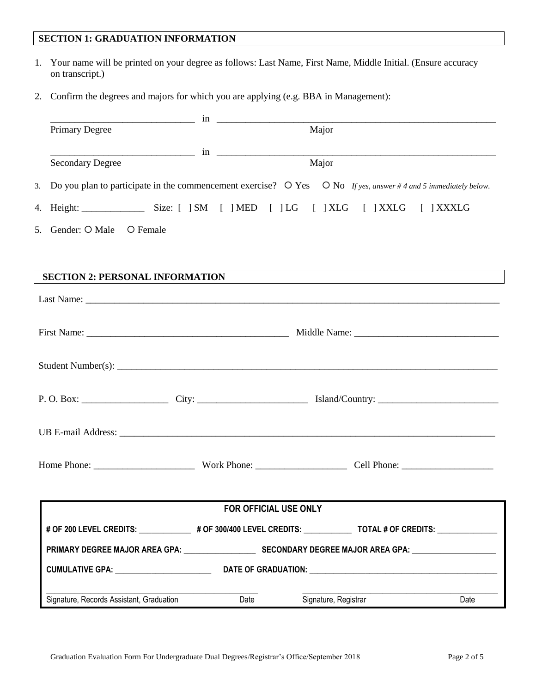## **SECTION 1: GRADUATION INFORMATION**

- 1. Your name will be printed on your degree as follows: Last Name, First Name, Middle Initial. (Ensure accuracy on transcript.)
- 2. Confirm the degrees and majors for which you are applying (e.g. BBA in Management):

| Primary Degree                                                                                                                |                       | Major                |      |
|-------------------------------------------------------------------------------------------------------------------------------|-----------------------|----------------------|------|
|                                                                                                                               |                       |                      |      |
| <b>Secondary Degree</b>                                                                                                       |                       | Major                |      |
| 3. Do you plan to participate in the commencement exercise? $\circ$ Yes $\circ$ No If yes, answer #4 and 5 immediately below. |                       |                      |      |
| 4. Height: _________________ Size: [ ]SM [ ]MED [ ]LG [ ]XLG [ ]XXLG [ ]XXXLG                                                 |                       |                      |      |
| 5. Gender: O Male O Female                                                                                                    |                       |                      |      |
| SECTION 2: PERSONAL INFORMATIONNALLY CONSUMER TO A CONSUMING THE SECTION 2.                                                   |                       |                      |      |
|                                                                                                                               |                       |                      |      |
|                                                                                                                               |                       |                      |      |
|                                                                                                                               |                       |                      |      |
|                                                                                                                               |                       |                      |      |
|                                                                                                                               |                       |                      |      |
|                                                                                                                               |                       |                      |      |
|                                                                                                                               |                       |                      |      |
|                                                                                                                               |                       |                      |      |
|                                                                                                                               |                       |                      |      |
|                                                                                                                               |                       |                      |      |
|                                                                                                                               |                       |                      |      |
|                                                                                                                               |                       |                      |      |
|                                                                                                                               | FOR OFFICIAL USE ONLY |                      |      |
| # OF 300 LEVEL CREDITS: _________________# OF 300/400 LEVEL CREDITS: _______________TOTAL # OF CREDITS: ______                |                       |                      |      |
|                                                                                                                               |                       |                      |      |
| CUMULATIVE GPA: ________________________                                                                                      |                       |                      |      |
|                                                                                                                               |                       |                      |      |
| Signature, Records Assistant, Graduation                                                                                      | Date                  | Signature, Registrar | Date |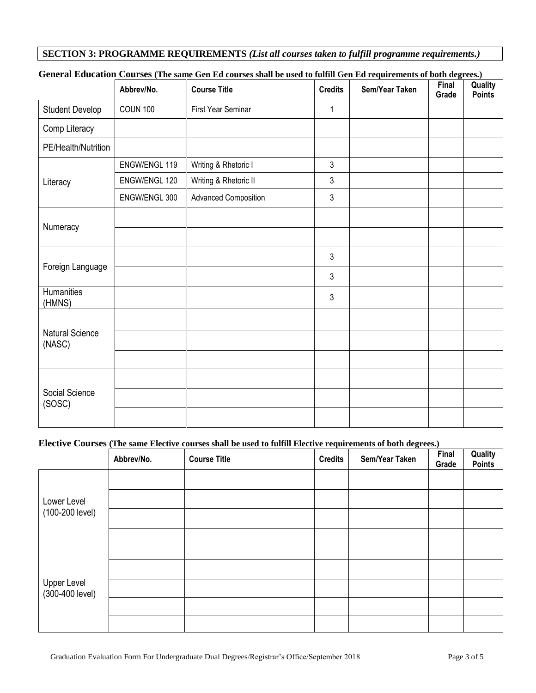#### **SECTION 3: PROGRAMME REQUIREMENTS** *(List all courses taken to fulfill programme requirements.)*

|                                  | Abbrev/No.      | <b>Course Title</b>         | <b>Credits</b> | Sem/Year Taken | Final<br>Grade | Quality<br><b>Points</b> |
|----------------------------------|-----------------|-----------------------------|----------------|----------------|----------------|--------------------------|
| <b>Student Develop</b>           | <b>COUN 100</b> | First Year Seminar          | 1              |                |                |                          |
| Comp Literacy                    |                 |                             |                |                |                |                          |
| PE/Health/Nutrition              |                 |                             |                |                |                |                          |
|                                  | ENGW/ENGL 119   | Writing & Rhetoric I        | $\mathfrak{Z}$ |                |                |                          |
| Literacy                         | ENGW/ENGL 120   | Writing & Rhetoric II       | $\mathfrak{Z}$ |                |                |                          |
|                                  | ENGW/ENGL 300   | <b>Advanced Composition</b> | $\mathfrak{Z}$ |                |                |                          |
|                                  |                 |                             |                |                |                |                          |
| Numeracy                         |                 |                             |                |                |                |                          |
|                                  |                 |                             | $\mathfrak{Z}$ |                |                |                          |
| Foreign Language                 |                 |                             | $\mathfrak{Z}$ |                |                |                          |
| Humanities<br>(HMNS)             |                 |                             | $\mathfrak{Z}$ |                |                |                          |
|                                  |                 |                             |                |                |                |                          |
| <b>Natural Science</b><br>(NASC) |                 |                             |                |                |                |                          |
|                                  |                 |                             |                |                |                |                          |
|                                  |                 |                             |                |                |                |                          |
| Social Science<br>(SOSC)         |                 |                             |                |                |                |                          |
|                                  |                 |                             |                |                |                |                          |

### **General Education Courses (The same Gen Ed courses shall be used to fulfill Gen Ed requirements of both degrees.)**

#### **Elective Courses (The same Elective courses shall be used to fulfill Elective requirements of both degrees.)**

|                                | Abbrev/No. | <b>Course Title</b> | - 11<br><b>Credits</b> | $\overline{\phantom{a}}$<br>Sem/Year Taken | $\cdots$<br>Final<br>Grade | Quality<br><b>Points</b> |
|--------------------------------|------------|---------------------|------------------------|--------------------------------------------|----------------------------|--------------------------|
|                                |            |                     |                        |                                            |                            |                          |
| Lower Level                    |            |                     |                        |                                            |                            |                          |
| (100-200 level)                |            |                     |                        |                                            |                            |                          |
|                                |            |                     |                        |                                            |                            |                          |
| Upper Level<br>(300-400 level) |            |                     |                        |                                            |                            |                          |
|                                |            |                     |                        |                                            |                            |                          |
|                                |            |                     |                        |                                            |                            |                          |
|                                |            |                     |                        |                                            |                            |                          |
|                                |            |                     |                        |                                            |                            |                          |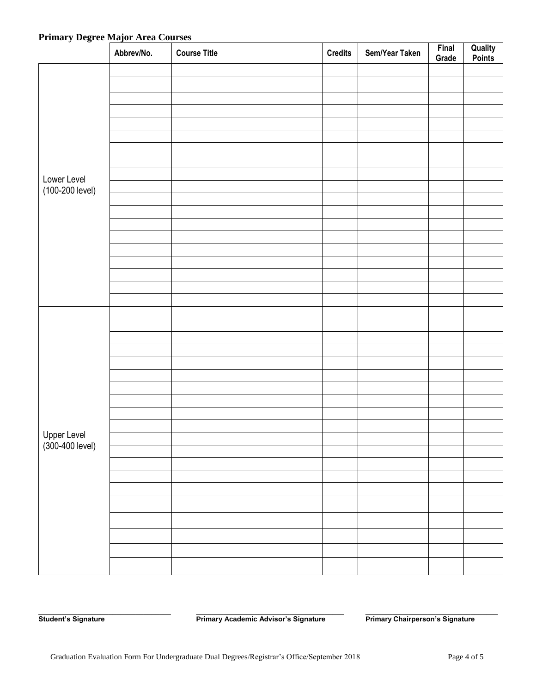# **Primary Degree Major Area Courses**

|                                | Abbrev/No. | <b>Course Title</b> | <b>Credits</b> | Sem/Year Taken | Final<br>Grade | <b>Quality<br/>Points</b> |
|--------------------------------|------------|---------------------|----------------|----------------|----------------|---------------------------|
|                                |            |                     |                |                |                |                           |
|                                |            |                     |                |                |                |                           |
|                                |            |                     |                |                |                |                           |
|                                |            |                     |                |                |                |                           |
|                                |            |                     |                |                |                |                           |
|                                |            |                     |                |                |                |                           |
|                                |            |                     |                |                |                |                           |
|                                |            |                     |                |                |                |                           |
| Lower Level                    |            |                     |                |                |                |                           |
| (100-200 level)                |            |                     |                |                |                |                           |
|                                |            |                     |                |                |                |                           |
|                                |            |                     |                |                |                |                           |
|                                |            |                     |                |                |                |                           |
|                                |            |                     |                |                |                |                           |
|                                |            |                     |                |                |                |                           |
|                                |            |                     |                |                |                |                           |
|                                |            |                     |                |                |                |                           |
|                                |            |                     |                |                |                |                           |
|                                |            |                     |                |                |                |                           |
|                                |            |                     |                |                |                |                           |
|                                |            |                     |                |                |                |                           |
|                                |            |                     |                |                |                |                           |
|                                |            |                     |                |                |                |                           |
|                                |            |                     |                |                |                |                           |
|                                |            |                     |                |                |                |                           |
|                                |            |                     |                |                |                |                           |
|                                |            |                     |                |                |                |                           |
|                                |            |                     |                |                |                |                           |
|                                |            |                     |                |                |                |                           |
| Upper Level<br>(300-400 level) |            |                     |                |                |                |                           |
|                                |            |                     |                |                |                |                           |
|                                |            |                     |                |                |                |                           |
|                                |            |                     |                |                |                |                           |
|                                |            |                     |                |                |                |                           |
|                                |            |                     |                |                |                |                           |
|                                |            |                     |                |                |                |                           |
|                                |            |                     |                |                |                |                           |
|                                |            |                     |                |                |                |                           |
|                                |            |                     |                |                |                |                           |

**Student's Signature Community Chairmary Academic Advisor's Signature Primary Chairperson's Signature** 

\_\_\_\_\_\_\_\_\_\_\_\_\_\_\_\_\_\_\_\_\_\_\_\_\_\_\_\_\_\_\_\_\_\_ \_\_\_\_\_\_\_\_\_\_\_\_\_\_\_\_\_\_\_\_\_\_\_\_\_\_\_\_\_\_\_\_\_\_\_\_\_\_ \_\_\_\_\_\_\_\_\_\_\_\_\_\_\_\_\_\_\_\_\_\_\_\_\_\_\_\_\_\_\_\_\_\_